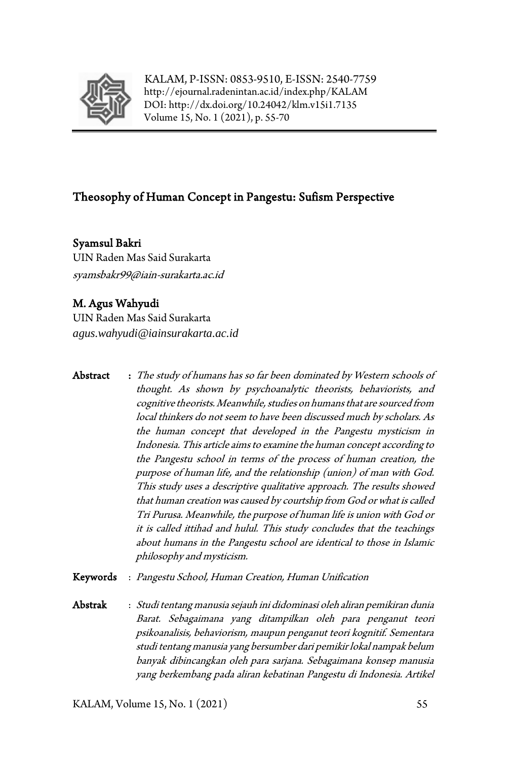

KALAM, P-ISSN: 0853-9510, E-ISSN: 2540-7759 <http://ejournal.radenintan.ac.id/index.php/KALAM> DOI: <http://dx.doi.org/10.24042/klm.v15i1.7135> Volume 15, No. 1 (2021), p. 55-70

# Theosophy of Human Concept in Pangestu: Sufism Perspective

Syamsul Bakri UIN Raden Mas Said Surakarta syamsbakr99@iain-surakarta.ac.id

## M. Agus Wahyudi

UIN Raden Mas Said Surakarta *agus.wahyudi@iainsurakarta.ac.id*

- Abstract : The study of humans has so far been dominated by Western schools of thought. As shown by psychoanalytic theorists, behaviorists, and cognitive theorists. Meanwhile, studies on humans that are sourced from local thinkers do not seem to have been discussed much by scholars. As the human concept that developed in the Pangestu mysticism in Indonesia. This article aims to examine the human concept according to the Pangestu school in terms of the process of human creation, the purpose of human life, and the relationship (union) of man with God. This study uses a descriptive qualitative approach. The results showed that human creation was caused by courtship from God or what is called Tri Purusa. Meanwhile, the purpose of human life is union with God or it is called ittihad and hulul. This study concludes that the teachings about humans in the Pangestu school are identical to those in Islamic philosophy and mysticism.
- Keywords : Pangestu School, Human Creation, Human Unification
- Abstrak : Studi tentang manusia sejauh ini didominasi oleh aliran pemikiran dunia Barat. Sebagaimana yang ditampilkan oleh para penganut teori psikoanalisis, behaviorism, maupun penganut teori kognitif. Sementara studi tentang manusia yang bersumber dari pemikir lokal nampak belum banyak dibincangkan oleh para sarjana. Sebagaimana konsep manusia yang berkembang pada aliran kebatinan Pangestu di Indonesia. Artikel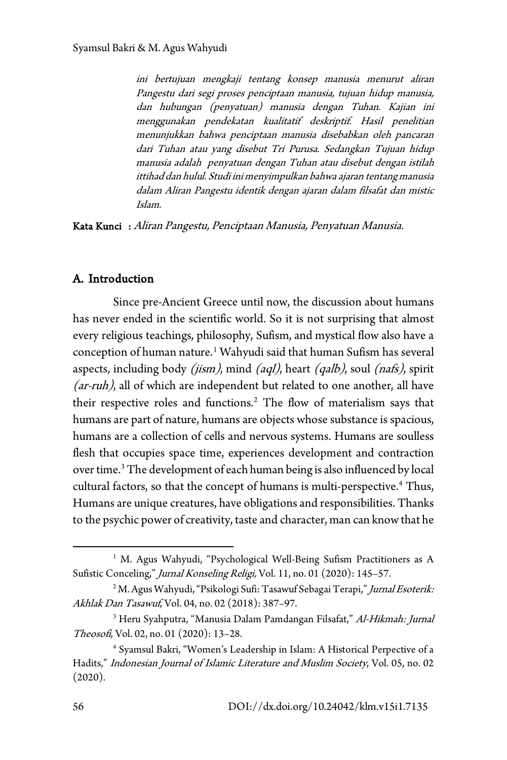ini bertujuan mengkaji tentang konsep manusia menurut aliran Pangestu dari segi proses penciptaan manusia, tujuan hidup manusia, dan hubungan (penyatuan) manusia dengan Tuhan. Kajian ini menggunakan pendekatan kualitatif deskriptif. Hasil penelitian menunjukkan bahwa penciptaan manusia disebabkan oleh pancaran dari Tuhan atau yang disebut Tri Purusa. Sedangkan Tujuan hidup manusia adalah penyatuan dengan Tuhan atau disebut dengan istilah ittihad dan hulul. Studi ini menyimpulkan bahwa ajaran tentang manusia dalam Aliran Pangestu identik dengan ajaran dalam filsafat dan mistic Islam.

Kata Kunci : Aliran Pangestu, Penciptaan Manusia, Penyatuan Manusia.

#### A. Introduction

Since pre-Ancient Greece until now, the discussion about humans has never ended in the scientific world. So it is not surprising that almost every religious teachings, philosophy, Sufism, and mystical flow also have a conception of human nature.<sup>[1](#page-1-0)</sup> Wahyudi said that human Sufism has several aspects, including body (*jism*), mind (*aql*), heart (*qalb*), soul (*nafs*), spirit (ar-ruh), all of which are independent but related to one another, all have their respective roles and functions.<sup>[2](#page-1-1)</sup> The flow of materialism says that humans are part of nature, humans are objects whose substance is spacious, humans are a collection of cells and nervous systems. Humans are soulless flesh that occupies space time, experiences development and contraction over time[.3](#page-1-2) The development of each human being is also influenced by local cultural factors, so that the concept of humans is multi-perspective.<sup>[4](#page-1-3)</sup> Thus, Humans are unique creatures, have obligations and responsibilities. Thanks to the psychic power of creativity, taste and character, man can know that he

<span id="page-1-0"></span><sup>&</sup>lt;sup>1</sup> M. Agus Wahyudi, "Psychological Well-Being Sufism Practitioners as A Sufistic Conceling," Jurnal Konseling Religi, Vol. 11, no. 01 (2020): 145-57.

<span id="page-1-1"></span><sup>&</sup>lt;sup>2</sup> M. Agus Wahyudi, "Psikologi Sufi: Tasawuf Sebagai Terapi," Jurnal Esoterik: Akhlak Dan Tasawuf, Vol. 04, no. 02 (2018): 387–97.

<span id="page-1-2"></span><sup>&</sup>lt;sup>3</sup> Heru Syahputra, "Manusia Dalam Pamdangan Filsafat," Al-Hikmah: Jurnal Theosofi, Vol. 02, no. 01 (2020): 13–28.

<span id="page-1-3"></span><sup>4</sup> Syamsul Bakri, "Women's Leadership in Islam: A Historical Perpective of a Hadits," Indonesian Journal of Islamic Literature and Muslim Society, Vol. 05, no. 02 (2020).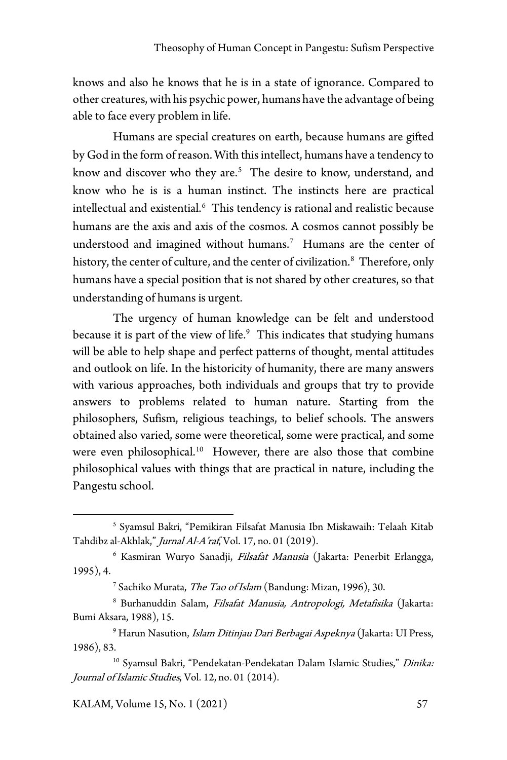knows and also he knows that he is in a state of ignorance. Compared to other creatures, with his psychic power, humans have the advantage of being able to face every problem in life.

Humans are special creatures on earth, because humans are gifted by God in the form of reason. With this intellect, humans have a tendency to know and discover who they are.<sup>[5](#page-2-0)</sup> The desire to know, understand, and know who he is is a human instinct. The instincts here are practical intellectual and existential. $^6\,$  $^6\,$  $^6\,$  This tendency is rational and realistic because humans are the axis and axis of the cosmos. A cosmos cannot possibly be understood and imagined without humans[.7](#page-2-2) Humans are the center of history, the center of culture, and the center of civilization.<sup>[8](#page-2-3)</sup> Therefore, only humans have a special position that is not shared by other creatures, so that understanding of humans is urgent.

The urgency of human knowledge can be felt and understood because it is part of the view of life.<sup>9</sup> This indicates that studying humans will be able to help shape and perfect patterns of thought, mental attitudes and outlook on life. In the historicity of humanity, there are many answers with various approaches, both individuals and groups that try to provide answers to problems related to human nature. Starting from the philosophers, Sufism, religious teachings, to belief schools. The answers obtained also varied, some were theoretical, some were practical, and some were even philosophical.<sup>[10](#page-2-5)</sup> However, there are also those that combine philosophical values with things that are practical in nature, including the Pangestu school.

<span id="page-2-0"></span><sup>5</sup> Syamsul Bakri, "Pemikiran Filsafat Manusia Ibn Miskawaih: Telaah Kitab Tahdibz al-Akhlak," Jurnal Al-A'raf, Vol. 17, no. 01 (2019).

<span id="page-2-1"></span><sup>&</sup>lt;sup>6</sup> Kasmiran Wuryo Sanadji, Filsafat Manusia (Jakarta: Penerbit Erlangga, 1995), 4.

<sup>&</sup>lt;sup>7</sup> Sachiko Murata, *The Tao of Islam* (Bandung: Mizan, 1996), 30.

<span id="page-2-3"></span><span id="page-2-2"></span><sup>&</sup>lt;sup>8</sup> Burhanuddin Salam, Filsafat Manusia, Antropologi, Metafisika (Jakarta: Bumi Aksara, 1988), 15.

<span id="page-2-4"></span><sup>&</sup>lt;sup>9</sup> Harun Nasution, *Islam Ditinjau Dari Berbagai Aspeknya* (Jakarta: UI Press, 1986), 83.

<span id="page-2-5"></span><sup>&</sup>lt;sup>10</sup> Syamsul Bakri, "Pendekatan-Pendekatan Dalam Islamic Studies," Dinika: Journal of Islamic Studies, Vol. 12, no. 01 (2014).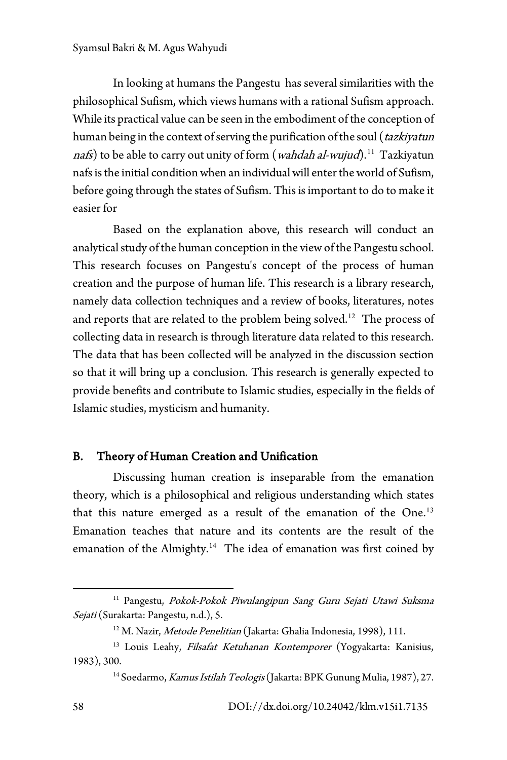In looking at humans the Pangestu has several similarities with the philosophical Sufism, which views humans with a rational Sufism approach. While its practical value can be seen in the embodiment of the conception of human being in the context of serving the purification of the soul (*tazkiyatun* nafs) to be able to carry out unity of form (*wahdah al-wujud*).<sup>11</sup> Tazkiyatun nafs is the initial condition when an individual will enter the world of Sufism, before going through the states of Sufism. This is important to do to make it easier for

Based on the explanation above, this research will conduct an analytical study of the human conception in the view of the Pangestu school. This research focuses on Pangestu's concept of the process of human creation and the purpose of human life. This research is a library research, namely data collection techniques and a review of books, literatures, notes and reports that are related to the problem being solved.<sup>[12](#page-3-1)</sup> The process of collecting data in research is through literature data related to this research. The data that has been collected will be analyzed in the discussion section so that it will bring up a conclusion. This research is generally expected to provide benefits and contribute to Islamic studies, especially in the fields of Islamic studies, mysticism and humanity.

## B. Theory of Human Creation and Unification

Discussing human creation is inseparable from the emanation theory, which is a philosophical and religious understanding which states that this nature emerged as a result of the emanation of the One.<sup>[13](#page-3-2)</sup> Emanation teaches that nature and its contents are the result of the emanation of the Almighty.<sup>[14](#page-3-3)</sup> The idea of emanation was first coined by

<span id="page-3-0"></span><sup>&</sup>lt;sup>11</sup> Pangestu, Pokok-Pokok Piwulangipun Sang Guru Sejati Utawi Suksma Sejati (Surakarta: Pangestu, n.d.), 5.

<sup>&</sup>lt;sup>12</sup> M. Nazir, *Metode Penelitian* (Jakarta: Ghalia Indonesia, 1998), 111.

<span id="page-3-3"></span><span id="page-3-2"></span><span id="page-3-1"></span><sup>&</sup>lt;sup>13</sup> Louis Leahy, Filsafat Ketuhanan Kontemporer (Yogyakarta: Kanisius, 1983), 300.

<sup>&</sup>lt;sup>14</sup> Soedarmo, Kamus Istilah Teologis (Jakarta: BPK Gunung Mulia, 1987), 27.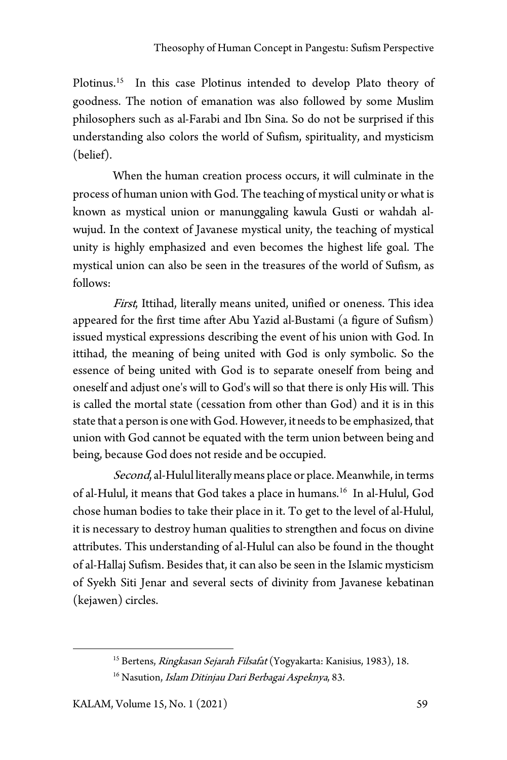Plotinus.<sup>15</sup> In this case Plotinus intended to develop Plato theory of goodness. The notion of emanation was also followed by some Muslim philosophers such as al-Farabi and Ibn Sina. So do not be surprised if this understanding also colors the world of Sufism, spirituality, and mysticism (belief).

When the human creation process occurs, it will culminate in the process of human union with God. The teaching of mystical unity or what is known as mystical union or manunggaling kawula Gusti or wahdah alwujud. In the context of Javanese mystical unity, the teaching of mystical unity is highly emphasized and even becomes the highest life goal. The mystical union can also be seen in the treasures of the world of Sufism, as follows:

First, Ittihad, literally means united, unified or oneness. This idea appeared for the first time after Abu Yazid al-Bustami (a figure of Sufism) issued mystical expressions describing the event of his union with God. In ittihad, the meaning of being united with God is only symbolic. So the essence of being united with God is to separate oneself from being and oneself and adjust one's will to God's will so that there is only His will. This is called the mortal state (cessation from other than God) and it is in this state that a person is one with God. However, it needs to be emphasized, that union with God cannot be equated with the term union between being and being, because God does not reside and be occupied.

Second, al-Hulul literally means place or place. Meanwhile, in terms of al-Hulul, it means that God takes a place in humans.[16](#page-4-1) In al-Hulul, God chose human bodies to take their place in it. To get to the level of al-Hulul, it is necessary to destroy human qualities to strengthen and focus on divine attributes. This understanding of al-Hulul can also be found in the thought of al-Hallaj Sufism. Besides that, it can also be seen in the Islamic mysticism of Syekh Siti Jenar and several sects of divinity from Javanese kebatinan (kejawen) circles.

<span id="page-4-1"></span><span id="page-4-0"></span><sup>&</sup>lt;sup>15</sup> Bertens, Ringkasan Sejarah Filsafat (Yogyakarta: Kanisius, 1983), 18.

<sup>&</sup>lt;sup>16</sup> Nasution, *Islam Ditinjau Dari Berbagai Aspeknya*, 83.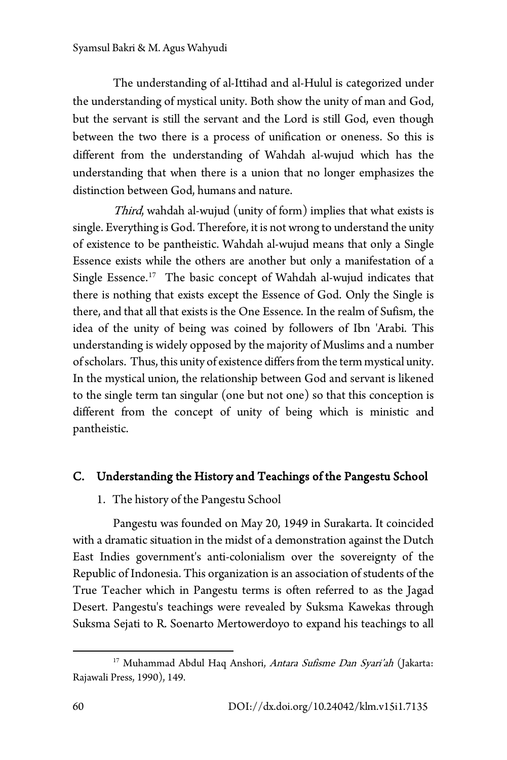The understanding of al-Ittihad and al-Hulul is categorized under the understanding of mystical unity. Both show the unity of man and God, but the servant is still the servant and the Lord is still God, even though between the two there is a process of unification or oneness. So this is different from the understanding of Wahdah al-wujud which has the understanding that when there is a union that no longer emphasizes the distinction between God, humans and nature.

Third, wahdah al-wujud (unity of form) implies that what exists is single. Everything is God. Therefore, it is not wrong to understand the unity of existence to be pantheistic. Wahdah al-wujud means that only a Single Essence exists while the others are another but only a manifestation of a Single Essence.<sup>17</sup> The basic concept of Wahdah al-wujud indicates that there is nothing that exists except the Essence of God. Only the Single is there, and that all that exists is the One Essence. In the realm of Sufism, the idea of the unity of being was coined by followers of Ibn 'Arabi. This understanding is widely opposed by the majority of Muslims and a number of scholars. Thus, this unity of existence differs from the term mystical unity. In the mystical union, the relationship between God and servant is likened to the single term tan singular (one but not one) so that this conception is different from the concept of unity of being which is ministic and pantheistic.

## C. Understanding the History and Teachings of the Pangestu School

1. The history of the Pangestu School

Pangestu was founded on May 20, 1949 in Surakarta. It coincided with a dramatic situation in the midst of a demonstration against the Dutch East Indies government's anti-colonialism over the sovereignty of the Republic of Indonesia. This organization is an association of students of the True Teacher which in Pangestu terms is often referred to as the Jagad Desert. Pangestu's teachings were revealed by Suksma Kawekas through Suksma Sejati to R. Soenarto Mertowerdoyo to expand his teachings to all

<span id="page-5-0"></span><sup>&</sup>lt;sup>17</sup> Muhammad Abdul Haq Anshori, *Antara Sufisme Dan Syari'ah* (Jakarta: Rajawali Press, 1990), 149.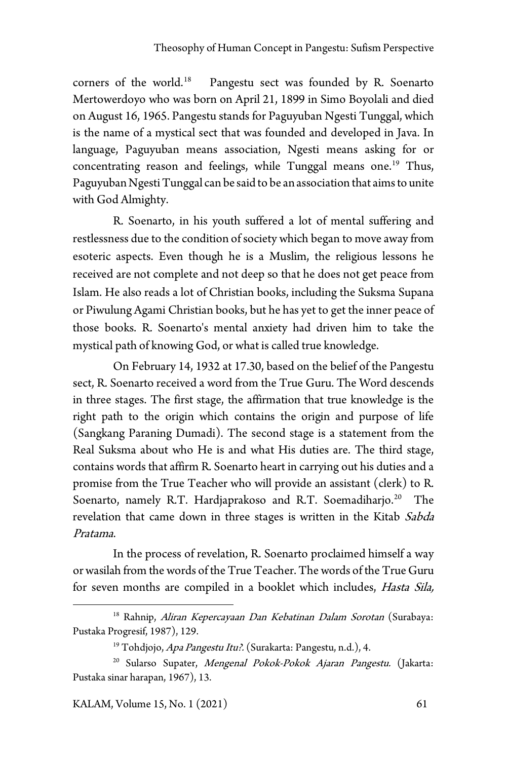corners of the world.<sup>[18](#page-6-0)</sup> Pangestu sect was founded by R. Soenarto Mertowerdoyo who was born on April 21, 1899 in Simo Boyolali and died on August 16, 1965. Pangestu stands for Paguyuban Ngesti Tunggal, which is the name of a mystical sect that was founded and developed in Java. In language, Paguyuban means association, Ngesti means asking for or concentrating reason and feelings, while Tunggal means one.<sup>[19](#page-6-1)</sup> Thus, Paguyuban Ngesti Tunggal can be said to be an association that aims to unite with God Almighty.

R. Soenarto, in his youth suffered a lot of mental suffering and restlessness due to the condition of society which began to move away from esoteric aspects. Even though he is a Muslim, the religious lessons he received are not complete and not deep so that he does not get peace from Islam. He also reads a lot of Christian books, including the Suksma Supana or Piwulung Agami Christian books, but he has yet to get the inner peace of those books. R. Soenarto's mental anxiety had driven him to take the mystical path of knowing God, or what is called true knowledge.

On February 14, 1932 at 17.30, based on the belief of the Pangestu sect, R. Soenarto received a word from the True Guru. The Word descends in three stages. The first stage, the affirmation that true knowledge is the right path to the origin which contains the origin and purpose of life (Sangkang Paraning Dumadi). The second stage is a statement from the Real Suksma about who He is and what His duties are. The third stage, contains words that affirm R. Soenarto heart in carrying out his duties and a promise from the True Teacher who will provide an assistant (clerk) to R. Soenarto, namely R.T. Hardjaprakoso and R.T. Soemadiharjo.<sup>20</sup> The revelation that came down in three stages is written in the Kitab Sabda Pratama.

In the process of revelation, R. Soenarto proclaimed himself a way or wasilah from the words of the True Teacher. The words of the True Guru for seven months are compiled in a booklet which includes, Hasta Sila,

<span id="page-6-0"></span><sup>&</sup>lt;sup>18</sup> Rahnip, Aliran Kepercayaan Dan Kebatinan Dalam Sorotan (Surabaya: Pustaka Progresif, 1987), 129.

<sup>&</sup>lt;sup>19</sup> Tohdjojo, Apa Pangestu Itu?. (Surakarta: Pangestu, n.d.), 4.

<span id="page-6-2"></span><span id="page-6-1"></span><sup>&</sup>lt;sup>20</sup> Sularso Supater, Mengenal Pokok-Pokok Ajaran Pangestu. (Jakarta: Pustaka sinar harapan, 1967), 13.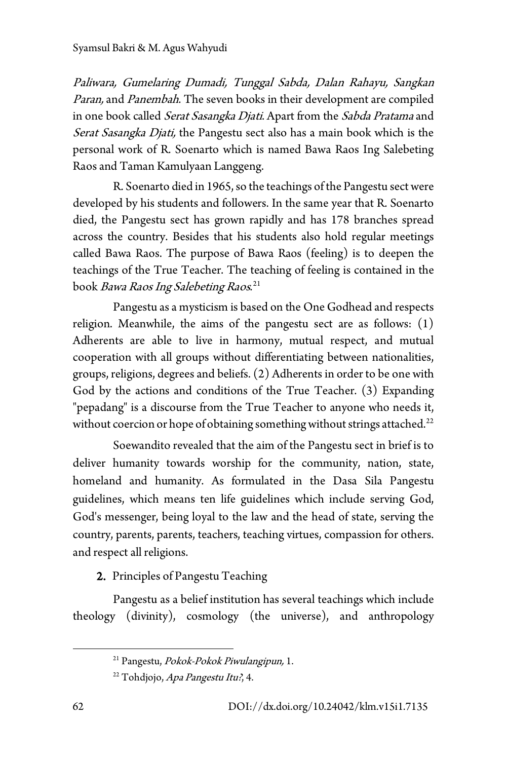Paliwara, Gumelaring Dumadi, Tunggal Sabda, Dalan Rahayu, Sangkan Paran, and Panembah. The seven books in their development are compiled in one book called Serat Sasangka Djati. Apart from the Sabda Pratama and Serat Sasangka Djati, the Pangestu sect also has a main book which is the personal work of R. Soenarto which is named Bawa Raos Ing Salebeting Raos and Taman Kamulyaan Langgeng.

R. Soenarto died in 1965, so the teachings of the Pangestu sect were developed by his students and followers. In the same year that R. Soenarto died, the Pangestu sect has grown rapidly and has 178 branches spread across the country. Besides that his students also hold regular meetings called Bawa Raos. The purpose of Bawa Raos (feeling) is to deepen the teachings of the True Teacher. The teaching of feeling is contained in the book *Bawa Raos Ing Salebeting Raos*.<sup>[21](#page-7-0)</sup>

Pangestu as a mysticism is based on the One Godhead and respects religion. Meanwhile, the aims of the pangestu sect are as follows: (1) Adherents are able to live in harmony, mutual respect, and mutual cooperation with all groups without differentiating between nationalities, groups, religions, degrees and beliefs. (2) Adherents in order to be one with God by the actions and conditions of the True Teacher. (3) Expanding "pepadang" is a discourse from the True Teacher to anyone who needs it, without coercion or hope of obtaining something without strings attached.<sup>[22](#page-7-1)</sup>

Soewandito revealed that the aim of the Pangestu sect in brief is to deliver humanity towards worship for the community, nation, state, homeland and humanity. As formulated in the Dasa Sila Pangestu guidelines, which means ten life guidelines which include serving God, God's messenger, being loyal to the law and the head of state, serving the country, parents, parents, teachers, teaching virtues, compassion for others. and respect all religions.

# 2. Principles of Pangestu Teaching

<span id="page-7-1"></span><span id="page-7-0"></span>Pangestu as a belief institution has several teachings which include theology (divinity), cosmology (the universe), and anthropology

<sup>&</sup>lt;sup>21</sup> Pangestu, Pokok-Pokok Piwulangipun, 1.

<sup>&</sup>lt;sup>22</sup> Tohdjojo, Apa Pangestu Itu?, 4.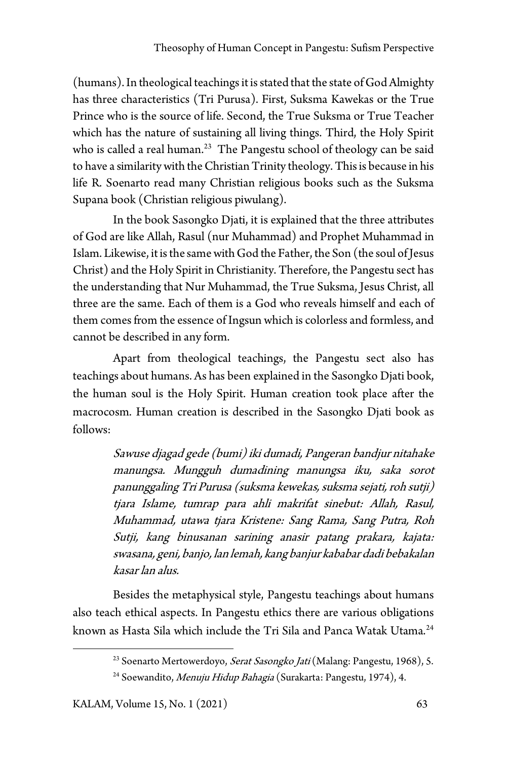(humans). In theological teachings it is stated that the state of God Almighty has three characteristics (Tri Purusa). First, Suksma Kawekas or the True Prince who is the source of life. Second, the True Suksma or True Teacher which has the nature of sustaining all living things. Third, the Holy Spirit who is called a real human.<sup>23</sup> The Pangestu school of theology can be said to have a similarity with the Christian Trinity theology. This is because in his life R. Soenarto read many Christian religious books such as the Suksma Supana book (Christian religious piwulang).

In the book Sasongko Djati, it is explained that the three attributes of God are like Allah, Rasul (nur Muhammad) and Prophet Muhammad in Islam. Likewise, it is the same with God the Father, the Son (the soul of Jesus Christ) and the Holy Spirit in Christianity. Therefore, the Pangestu sect has the understanding that Nur Muhammad, the True Suksma, Jesus Christ, all three are the same. Each of them is a God who reveals himself and each of them comes from the essence of Ingsun which is colorless and formless, and cannot be described in any form.

Apart from theological teachings, the Pangestu sect also has teachings about humans. As has been explained in the Sasongko Djati book, the human soul is the Holy Spirit. Human creation took place after the macrocosm. Human creation is described in the Sasongko Djati book as follows:

> Sawuse djagad gede (bumi) iki dumadi, Pangeran bandjur nitahake manungsa. Mungguh dumadining manungsa iku, saka sorot panunggaling Tri Purusa (suksma kewekas, suksma sejati, roh sutji) tjara Islame, tumrap para ahli makrifat sinebut: Allah, Rasul, Muhammad, utawa tjara Kristene: Sang Rama, Sang Putra, Roh Sutji, kang binusanan sarining anasir patang prakara, kajata: swasana, geni, banjo, lan lemah, kang banjur kababar dadi bebakalan kasar lan alus.

<span id="page-8-1"></span><span id="page-8-0"></span>Besides the metaphysical style, Pangestu teachings about humans also teach ethical aspects. In Pangestu ethics there are various obligations known as Hasta Sila which include the Tri Sila and Panca Watak Utama.<sup>[24](#page-8-1)</sup>

<sup>&</sup>lt;sup>23</sup> Soenarto Mertowerdoyo, Serat Sasongko Jati (Malang: Pangestu, 1968), 5.

<sup>&</sup>lt;sup>24</sup> Soewandito, *Menuju Hidup Bahagia* (Surakarta: Pangestu, 1974), 4.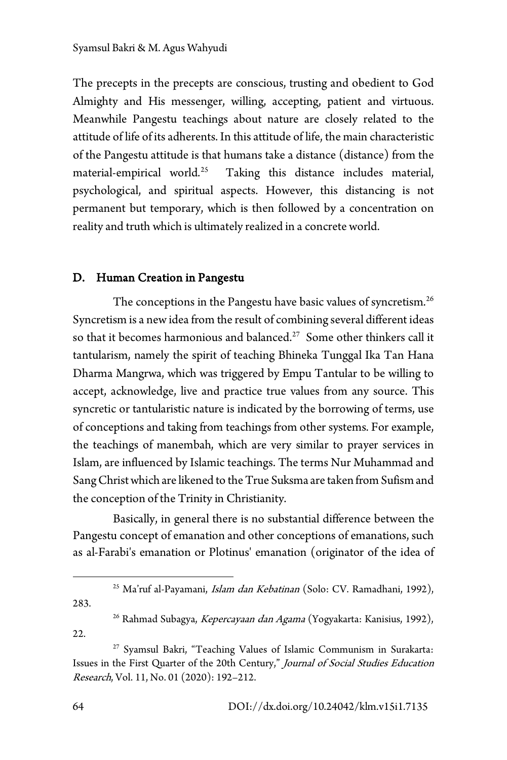The precepts in the precepts are conscious, trusting and obedient to God Almighty and His messenger, willing, accepting, patient and virtuous. Meanwhile Pangestu teachings about nature are closely related to the attitude of life of its adherents. In this attitude of life, the main characteristic of the Pangestu attitude is that humans take a distance (distance) from the material-empirical world.<sup>25</sup> Taking this distance includes material, psychological, and spiritual aspects. However, this distancing is not permanent but temporary, which is then followed by a concentration on reality and truth which is ultimately realized in a concrete world.

## D. Human Creation in Pangestu

The conceptions in the Pangestu have basic values of syncretism.<sup>[26](#page-9-1)</sup> Syncretism is a new idea from the result of combining several different ideas so that it becomes harmonious and balanced.<sup>27</sup> Some other thinkers call it tantularism, namely the spirit of teaching Bhineka Tunggal Ika Tan Hana Dharma Mangrwa, which was triggered by Empu Tantular to be willing to accept, acknowledge, live and practice true values from any source. This syncretic or tantularistic nature is indicated by the borrowing of terms, use of conceptions and taking from teachings from other systems. For example, the teachings of manembah, which are very similar to prayer services in Islam, are influenced by Islamic teachings. The terms Nur Muhammad and Sang Christ which are likened to the True Suksma are taken from Sufism and the conception of the Trinity in Christianity.

Basically, in general there is no substantial difference between the Pangestu concept of emanation and other conceptions of emanations, such as al-Farabi's emanation or Plotinus' emanation (originator of the idea of

<sup>25</sup> Ma'ruf al-Payamani, *Islam dan Kebatinan* (Solo: CV. Ramadhani, 1992),

<span id="page-9-1"></span><span id="page-9-0"></span>283.

22.

<sup>&</sup>lt;sup>26</sup> Rahmad Subagya, Kepercayaan dan Agama (Yogyakarta: Kanisius, 1992),

<span id="page-9-2"></span><sup>&</sup>lt;sup>27</sup> Syamsul Bakri, "Teaching Values of Islamic Communism in Surakarta: Issues in the First Quarter of the 20th Century," Journal of Social Studies Education Research, Vol. 11, No. 01 (2020): 192–212.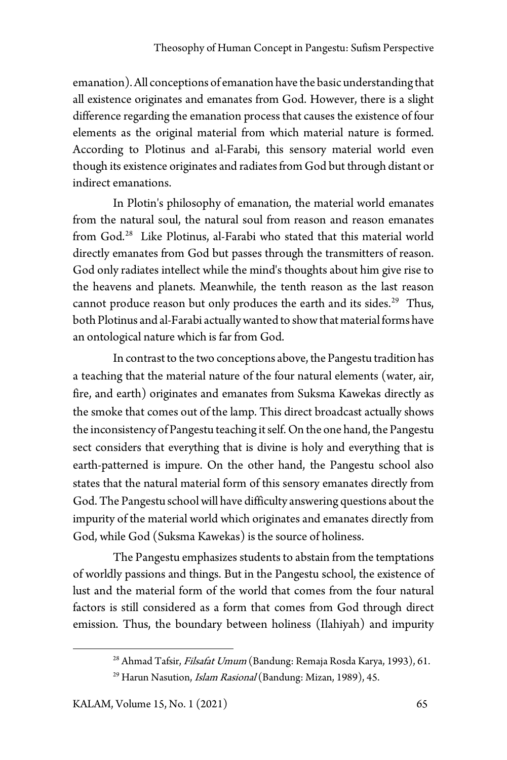emanation). All conceptions of emanation have the basic understanding that all existence originates and emanates from God. However, there is a slight difference regarding the emanation process that causes the existence of four elements as the original material from which material nature is formed. According to Plotinus and al-Farabi, this sensory material world even though its existence originates and radiates from God but through distant or indirect emanations.

In Plotin's philosophy of emanation, the material world emanates from the natural soul, the natural soul from reason and reason emanates from God.<sup>[28](#page-10-0)</sup> Like Plotinus, al-Farabi who stated that this material world directly emanates from God but passes through the transmitters of reason. God only radiates intellect while the mind's thoughts about him give rise to the heavens and planets. Meanwhile, the tenth reason as the last reason cannot produce reason but only produces the earth and its sides.<sup>[29](#page-10-1)</sup> Thus, both Plotinus and al-Farabi actually wanted to show that material forms have an ontological nature which is far from God.

In contrast to the two conceptions above, the Pangestu tradition has a teaching that the material nature of the four natural elements (water, air, fire, and earth) originates and emanates from Suksma Kawekas directly as the smoke that comes out of the lamp. This direct broadcast actually shows the inconsistency of Pangestu teaching it self. On the one hand, the Pangestu sect considers that everything that is divine is holy and everything that is earth-patterned is impure. On the other hand, the Pangestu school also states that the natural material form of this sensory emanates directly from God. The Pangestu school will have difficulty answering questions about the impurity of the material world which originates and emanates directly from God, while God (Suksma Kawekas) is the source of holiness.

The Pangestu emphasizes students to abstain from the temptations of worldly passions and things. But in the Pangestu school, the existence of lust and the material form of the world that comes from the four natural factors is still considered as a form that comes from God through direct emission. Thus, the boundary between holiness (Ilahiyah) and impurity

<span id="page-10-0"></span><sup>&</sup>lt;sup>28</sup> Ahmad Tafsir, Filsafat Umum (Bandung: Remaja Rosda Karya, 1993), 61.

<span id="page-10-1"></span><sup>&</sup>lt;sup>29</sup> Harun Nasution, *Islam Rasional* (Bandung: Mizan, 1989), 45.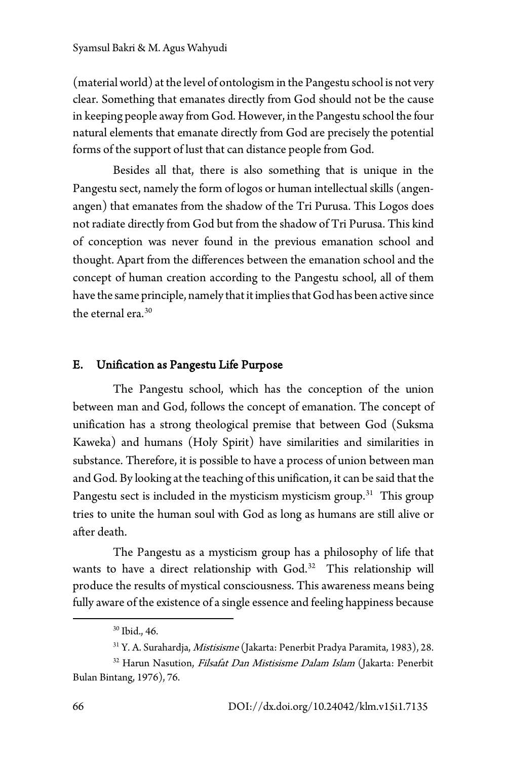(material world) at the level of ontologism in the Pangestu school is not very clear. Something that emanates directly from God should not be the cause in keeping people away from God. However, in the Pangestu school the four natural elements that emanate directly from God are precisely the potential forms of the support of lust that can distance people from God.

Besides all that, there is also something that is unique in the Pangestu sect, namely the form of logos or human intellectual skills (angenangen) that emanates from the shadow of the Tri Purusa. This Logos does not radiate directly from God but from the shadow of Tri Purusa. This kind of conception was never found in the previous emanation school and thought. Apart from the differences between the emanation school and the concept of human creation according to the Pangestu school, all of them have the same principle, namely that it implies that God has been active since the eternal era.<sup>[30](#page-11-0)</sup>

#### E. Unification as Pangestu Life Purpose

The Pangestu school, which has the conception of the union between man and God, follows the concept of emanation. The concept of unification has a strong theological premise that between God (Suksma Kaweka) and humans (Holy Spirit) have similarities and similarities in substance. Therefore, it is possible to have a process of union between man and God. By looking at the teaching of this unification, it can be said that the Pangestu sect is included in the mysticism mysticism group.<sup>[31](#page-11-1)</sup> This group tries to unite the human soul with God as long as humans are still alive or after death.

The Pangestu as a mysticism group has a philosophy of life that wants to have a direct relationship with God.<sup>32</sup> This relationship will produce the results of mystical consciousness. This awareness means being fully aware of the existence of a single essence and feeling happiness because

<sup>30</sup> Ibid., 46.

<sup>31</sup> Y. A. Surahardja, Mistisisme (Jakarta: Penerbit Pradya Paramita, 1983), 28.

<span id="page-11-2"></span><span id="page-11-1"></span><span id="page-11-0"></span><sup>&</sup>lt;sup>32</sup> Harun Nasution, Filsafat Dan Mistisisme Dalam Islam (Jakarta: Penerbit Bulan Bintang, 1976), 76.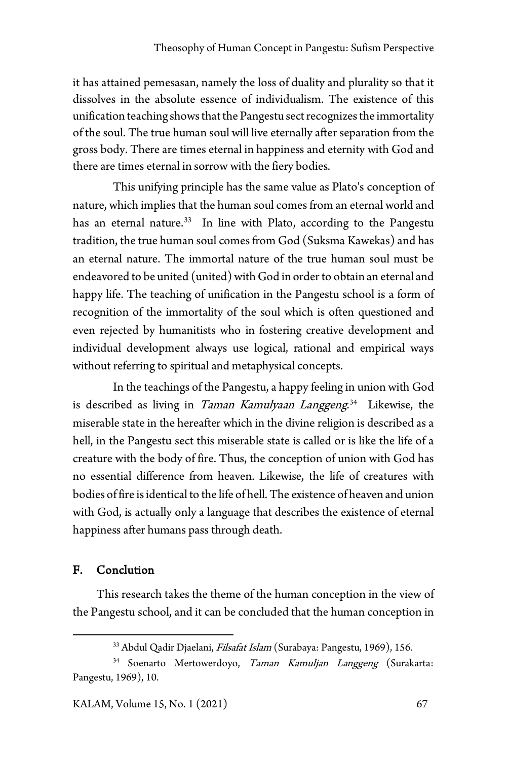it has attained pemesasan, namely the loss of duality and plurality so that it dissolves in the absolute essence of individualism. The existence of this unification teaching shows that the Pangestu sect recognizes the immortality of the soul. The true human soul will live eternally after separation from the gross body. There are times eternal in happiness and eternity with God and there are times eternal in sorrow with the fiery bodies.

This unifying principle has the same value as Plato's conception of nature, which implies that the human soul comes from an eternal world and has an eternal nature.<sup>33</sup> In line with Plato, according to the Pangestu tradition, the true human soul comes from God (Suksma Kawekas) and has an eternal nature. The immortal nature of the true human soul must be endeavored to be united (united) with God in order to obtain an eternal and happy life. The teaching of unification in the Pangestu school is a form of recognition of the immortality of the soul which is often questioned and even rejected by humanitists who in fostering creative development and individual development always use logical, rational and empirical ways without referring to spiritual and metaphysical concepts.

In the teachings of the Pangestu, a happy feeling in union with God is described as living in *Taman Kamulyaan Langgeng*.<sup>[34](#page-12-1)</sup> Likewise, the miserable state in the hereafter which in the divine religion is described as a hell, in the Pangestu sect this miserable state is called or is like the life of a creature with the body of fire. Thus, the conception of union with God has no essential difference from heaven. Likewise, the life of creatures with bodies of fire is identical to the life of hell. The existence of heaven and union with God, is actually only a language that describes the existence of eternal happiness after humans pass through death.

#### F. Conclution

This research takes the theme of the human conception in the view of the Pangestu school, and it can be concluded that the human conception in

<sup>&</sup>lt;sup>33</sup> Abdul Qadir Djaelani, Filsafat Islam (Surabaya: Pangestu, 1969), 156.

<span id="page-12-1"></span><span id="page-12-0"></span><sup>&</sup>lt;sup>34</sup> Soenarto Mertowerdoyo, Taman Kamuljan Langgeng (Surakarta: Pangestu, 1969), 10.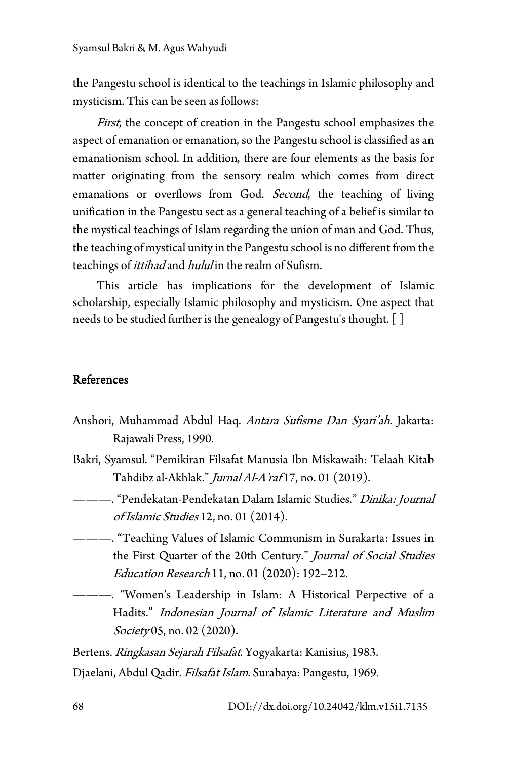the Pangestu school is identical to the teachings in Islamic philosophy and mysticism. This can be seen as follows:

First, the concept of creation in the Pangestu school emphasizes the aspect of emanation or emanation, so the Pangestu school is classified as an emanationism school. In addition, there are four elements as the basis for matter originating from the sensory realm which comes from direct emanations or overflows from God. Second, the teaching of living unification in the Pangestu sect as a general teaching of a belief is similar to the mystical teachings of Islam regarding the union of man and God. Thus, the teaching of mystical unity in the Pangestu school is no different from the teachings of *ittihad* and *hulul* in the realm of Sufism.

This article has implications for the development of Islamic scholarship, especially Islamic philosophy and mysticism. One aspect that needs to be studied further is the genealogy of Pangestu's thought. []

### References

- Anshori, Muhammad Abdul Haq. Antara Sufisme Dan Syari'ah. Jakarta: Rajawali Press, 1990.
- Bakri, Syamsul. "Pemikiran Filsafat Manusia Ibn Miskawaih: Telaah Kitab Tahdibz al-Akhlak." Jurnal Al-A'raf 17, no. 01 (2019).
- ———. "Pendekatan-Pendekatan Dalam Islamic Studies." *Dinika: Journal* of Islamic Studies 12, no. 01 (2014).
- ———. "Teaching Values of Islamic Communism in Surakarta: Issues in the First Quarter of the 20th Century." Journal of Social Studies Education Research 11, no. 01 (2020): 192–212.
	- ———. "Women's Leadership in Islam: A Historical Perpective of a Hadits." Indonesian Journal of Islamic Literature and Muslim Society 05, no. 02 (2020).

Bertens. Ringkasan Sejarah Filsafat. Yogyakarta: Kanisius, 1983.

Djaelani, Abdul Qadir. Filsafat Islam. Surabaya: Pangestu, 1969.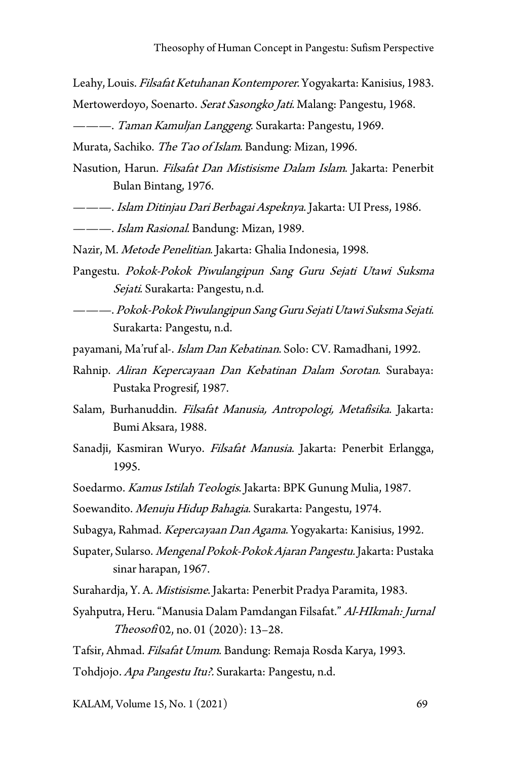- Leahy, Louis. Filsafat Ketuhanan Kontemporer. Yogyakarta: Kanisius, 1983. Mertowerdoyo, Soenarto. *Serat Sasongko Jati*. Malang: Pangestu, 1968.
- ———. Taman Kamuljan Langgeng. Surakarta: Pangestu, 1969.

Murata, Sachiko. The Tao of Islam. Bandung: Mizan, 1996.

- Nasution, Harun. Filsafat Dan Mistisisme Dalam Islam. Jakarta: Penerbit Bulan Bintang, 1976.
- ———. Islam Ditinjau Dari Berbagai Aspeknya. Jakarta: UI Press, 1986.
- ———. Islam Rasional. Bandung: Mizan, 1989.
- Nazir, M. Metode Penelitian. Jakarta: Ghalia Indonesia, 1998.
- Pangestu. Pokok-Pokok Piwulangipun Sang Guru Sejati Utawi Suksma Sejati. Surakarta: Pangestu, n.d.
- ———. Pokok-Pokok Piwulangipun Sang Guru Sejati Utawi Suksma Sejati. Surakarta: Pangestu, n.d.
- payamani, Ma'ruf al-. *Islam Dan Kebatinan*. Solo: CV. Ramadhani, 1992.
- Rahnip. Aliran Kepercayaan Dan Kebatinan Dalam Sorotan. Surabaya: Pustaka Progresif, 1987.
- Salam, Burhanuddin. Filsafat Manusia, Antropologi, Metafisika. Jakarta: Bumi Aksara, 1988.
- Sanadji, Kasmiran Wuryo. Filsafat Manusia. Jakarta: Penerbit Erlangga, 1995.
- Soedarmo. Kamus Istilah Teologis. Jakarta: BPK Gunung Mulia, 1987.
- Soewandito. Menuju Hidup Bahagia. Surakarta: Pangestu, 1974.
- Subagya, Rahmad. *Kepercayaan Dan Agama*. Yogyakarta: Kanisius, 1992.
- Supater, Sularso. Mengenal Pokok-Pokok Ajaran Pangestu. Jakarta: Pustaka sinar harapan, 1967.
- Surahardja, Y. A. Mistisisme. Jakarta: Penerbit Pradya Paramita, 1983.
- Syahputra, Heru. "Manusia Dalam Pamdangan Filsafat." Al-HIkmah: Jurnal Theosofi 02, no. 01 (2020): 13-28.
- Tafsir, Ahmad. Filsafat Umum. Bandung: Remaja Rosda Karya, 1993.

Tohdjojo. Apa Pangestu Itu?. Surakarta: Pangestu, n.d.